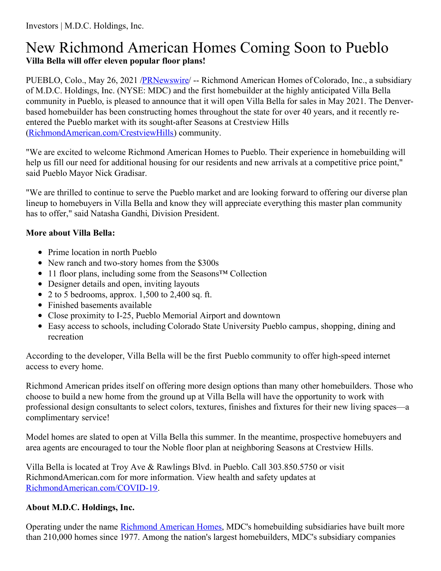## New Richmond American Homes Coming Soon to Pueblo **Villa Bella will offer eleven popular floor plans!**

PUEBLO, Colo., May 26, 2021 [/PRNewswire/](http://www.prnewswire.com/) -- Richmond American Homes of Colorado, Inc., a subsidiary of M.D.C. Holdings, Inc. (NYSE: MDC) and the first homebuilder at the highly anticipated Villa Bella community in Pueblo, is pleased to announce that it will open Villa Bella for sales in May 2021. The Denverbased homebuilder has been constructing homes throughout the state for over 40 years, and it recently reentered the Pueblo market with its sought-after Seasons at Crestview Hills [\(RichmondAmerican.com/CrestviewHills](https://c212.net/c/link/?t=0&l=en&o=3177372-1&h=980523116&u=https%3A%2F%2Fwww.richmondamerican.com%2Fcolorado%2Fpueblo-new-homes%2Fpueblo%2Fseasons-at-crestview-hills&a=RichmondAmerican.com%2FCrestviewHills)) community.

"We are excited to welcome Richmond American Homes to Pueblo. Their experience in homebuilding will help us fill our need for additional housing for our residents and new arrivals at a competitive price point," said Pueblo Mayor Nick Gradisar.

"We are thrilled to continue to serve the Pueblo market and are looking forward to offering our diverse plan lineup to homebuyers in Villa Bella and know they will appreciate everything this master plan community has to offer," said Natasha Gandhi, Division President.

## **More about Villa Bella:**

- Prime location in north Pueblo
- New ranch and two-story homes from the \$300s
- 11 floor plans, including some from the Seasons™ Collection
- Designer details and open, inviting layouts
- 2 to 5 bedrooms, approx. 1,500 to 2,400 sq. ft.
- Finished basements available
- Close proximity to I-25, Pueblo Memorial Airport and downtown
- Easy access to schools, including Colorado State University Pueblo campus, shopping, dining and recreation

According to the developer, Villa Bella will be the first Pueblo community to offer high-speed internet access to every home.

Richmond American prides itself on offering more design options than many other homebuilders. Those who choose to build a new home from the ground up at Villa Bella will have the opportunity to work with professional design consultants to select colors, textures, finishes and fixtures for their new living spaces—a complimentary service!

Model homes are slated to open at Villa Bella this summer. In the meantime, prospective homebuyers and area agents are encouraged to tour the Noble floor plan at neighboring Seasons at Crestview Hills.

Villa Bella is located at Troy Ave & Rawlings Blvd. in Pueblo. Call 303.850.5750 or visit RichmondAmerican.com for more information. View health and safety updates at [RichmondAmerican.com/COVID-19](https://c212.net/c/link/?t=0&l=en&o=3177372-1&h=2234772514&u=https%3A%2F%2Fwww.richmondamerican.com%2Fcovid-19&a=RichmondAmerican.com%2FCOVID-19).

## **About M.D.C. Holdings, Inc.**

Operating under the name [Richmond](https://c212.net/c/link/?t=0&l=en&o=3177372-1&h=1890823912&u=https%3A%2F%2Fwww.richmondamerican.com%2F&a=Richmond+American+Homes) American Homes, MDC's homebuilding subsidiaries have built more than 210,000 homes since 1977. Among the nation's largest homebuilders, MDC's subsidiary companies